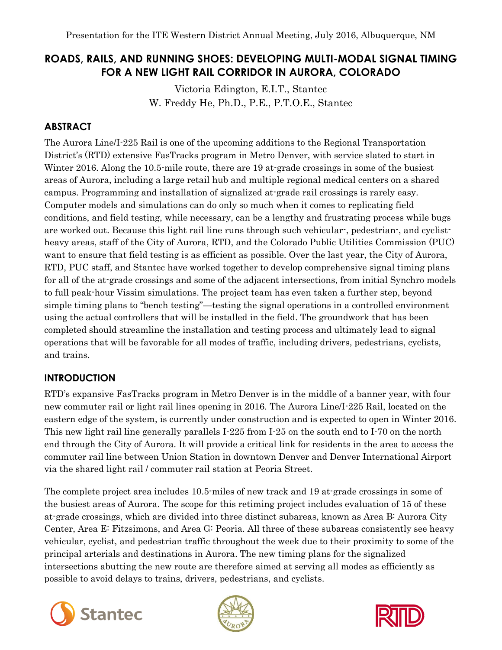# **ROADS, RAILS, AND RUNNING SHOES: DEVELOPING MULTI-MODAL SIGNAL TIMING FOR A NEW LIGHT RAIL CORRIDOR IN AURORA, COLORADO**

Victoria Edington, E.I.T., Stantec W. Freddy He, Ph.D., P.E., P.T.O.E., Stantec

## **ABSTRACT**

The Aurora Line/I-225 Rail is one of the upcoming additions to the Regional Transportation District's (RTD) extensive FasTracks program in Metro Denver, with service slated to start in Winter 2016. Along the 10.5-mile route, there are 19 at-grade crossings in some of the busiest areas of Aurora, including a large retail hub and multiple regional medical centers on a shared campus. Programming and installation of signalized at-grade rail crossings is rarely easy. Computer models and simulations can do only so much when it comes to replicating field conditions, and field testing, while necessary, can be a lengthy and frustrating process while bugs are worked out. Because this light rail line runs through such vehicular-, pedestrian-, and cyclistheavy areas, staff of the City of Aurora, RTD, and the Colorado Public Utilities Commission (PUC) want to ensure that field testing is as efficient as possible. Over the last year, the City of Aurora, RTD, PUC staff, and Stantec have worked together to develop comprehensive signal timing plans for all of the at-grade crossings and some of the adjacent intersections, from initial Synchro models to full peak-hour Vissim simulations. The project team has even taken a further step, beyond simple timing plans to "bench testing"—testing the signal operations in a controlled environment using the actual controllers that will be installed in the field. The groundwork that has been completed should streamline the installation and testing process and ultimately lead to signal operations that will be favorable for all modes of traffic, including drivers, pedestrians, cyclists, and trains.

## **INTRODUCTION**

RTD's expansive FasTracks program in Metro Denver is in the middle of a banner year, with four new commuter rail or light rail lines opening in 2016. The Aurora Line/I-225 Rail, located on the eastern edge of the system, is currently under construction and is expected to open in Winter 2016. This new light rail line generally parallels I-225 from I-25 on the south end to I-70 on the north end through the City of Aurora. It will provide a critical link for residents in the area to access the commuter rail line between Union Station in downtown Denver and Denver International Airport via the shared light rail / commuter rail station at Peoria Street.

The complete project area includes 10.5-miles of new track and 19 at-grade crossings in some of the busiest areas of Aurora. The scope for this retiming project includes evaluation of 15 of these at-grade crossings, which are divided into three distinct subareas, known as Area B: Aurora City Center, Area E: Fitzsimons, and Area G: Peoria. All three of these subareas consistently see heavy vehicular, cyclist, and pedestrian traffic throughout the week due to their proximity to some of the principal arterials and destinations in Aurora. The new timing plans for the signalized intersections abutting the new route are therefore aimed at serving all modes as efficiently as possible to avoid delays to trains, drivers, pedestrians, and cyclists.





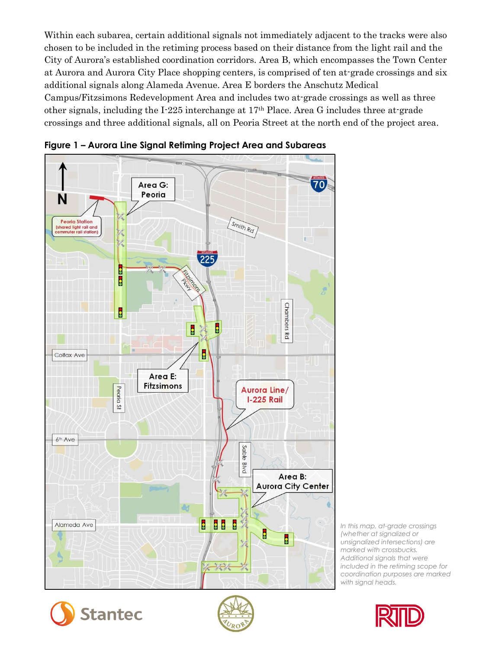Within each subarea, certain additional signals not immediately adjacent to the tracks were also chosen to be included in the retiming process based on their distance from the light rail and the City of Aurora's established coordination corridors. Area B, which encompasses the Town Center at Aurora and Aurora City Place shopping centers, is comprised of ten at-grade crossings and six additional signals along Alameda Avenue. Area E borders the Anschutz Medical Campus/Fitzsimons Redevelopment Area and includes two at-grade crossings as well as three other signals, including the I-225 interchange at 17th Place. Area G includes three at-grade crossings and three additional signals, all on Peoria Street at the north end of the project area.





*In this map, at-grade crossings (whether at signalized or unsignalized intersections) are marked with crossbucks. Additional signals that were included in the retiming scope for coordination purposes are marked with signal heads.*





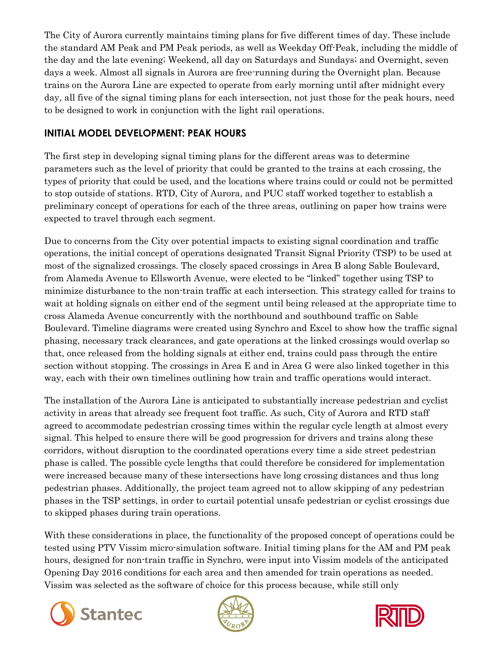The City of Aurora currently maintains timing plans for five different times of day. These include the standard AM Peak and PM Peak periods, as well as Weekday Off-Peak, including the middle of the day and the late evening; Weekend, all day on Saturdays and Sundays; and Overnight, seven days a week. Almost all signals in Aurora are free-running during the Overnight plan. Because trains on the Aurora Line are expected to operate from early morning until after midnight every day, all five of the signal timing plans for each intersection, not just those for the peak hours, need to be designed to work in conjunction with the light rail operations.

# **INITIAL MODEL DEVELOPMENT: PEAK HOURS**

The first step in developing signal timing plans for the different areas was to determine parameters such as the level of priority that could be granted to the trains at each crossing, the types of priority that could be used, and the locations where trains could or could not be permitted to stop outside of stations. RTD, City of Aurora, and PUC staff worked together to establish a preliminary concept of operations for each of the three areas, outlining on paper how trains were expected to travel through each segment.

Due to concerns from the City over potential impacts to existing signal coordination and traffic operations, the initial concept of operations designated Transit Signal Priority (TSP) to be used at most of the signalized crossings. The closely spaced crossings in Area B along Sable Boulevard, from Alameda Avenue to Ellsworth Avenue, were elected to be "linked" together using TSP to minimize disturbance to the non-train traffic at each intersection. This strategy called for trains to wait at holding signals on either end of the segment until being released at the appropriate time to cross Alameda Avenue concurrently with the northbound and southbound traffic on Sable Boulevard. Timeline diagrams were created using Synchro and Excel to show how the traffic signal phasing, necessary track clearances, and gate operations at the linked crossings would overlap so that, once released from the holding signals at either end, trains could pass through the entire section without stopping. The crossings in Area E and in Area G were also linked together in this way, each with their own timelines outlining how train and traffic operations would interact.

The installation of the Aurora Line is anticipated to substantially increase pedestrian and cyclist activity in areas that already see frequent foot traffic. As such, City of Aurora and RTD staff agreed to accommodate pedestrian crossing times within the regular cycle length at almost every signal. This helped to ensure there will be good progression for drivers and trains along these corridors, without disruption to the coordinated operations every time a side street pedestrian phase is called. The possible cycle lengths that could therefore be considered for implementation were increased because many of these intersections have long crossing distances and thus long pedestrian phases. Additionally, the project team agreed not to allow skipping of any pedestrian phases in the TSP settings, in order to curtail potential unsafe pedestrian or cyclist crossings due to skipped phases during train operations.

With these considerations in place, the functionality of the proposed concept of operations could be tested using PTV Vissim micro-simulation software. Initial timing plans for the AM and PM peak hours, designed for non-train traffic in Synchro, were input into Vissim models of the anticipated Opening Day 2016 conditions for each area and then amended for train operations as needed. Vissim was selected as the software of choice for this process because, while still only





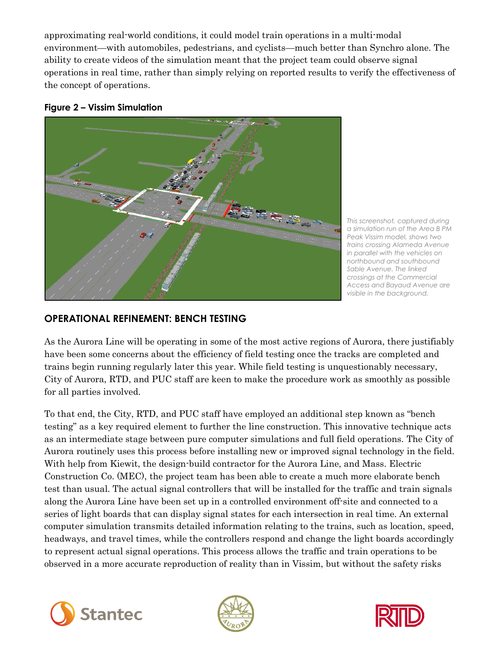approximating real-world conditions, it could model train operations in a multi-modal environment—with automobiles, pedestrians, and cyclists—much better than Synchro alone. The ability to create videos of the simulation meant that the project team could observe signal operations in real time, rather than simply relying on reported results to verify the effectiveness of the concept of operations.





*This screenshot, captured during a simulation run of the Area B PM Peak Vissim model, shows two trains crossing Alameda Avenue in parallel with the vehicles on northbound and southbound Sable Avenue. The linked crossings at the Commercial Access and Bayaud Avenue are visible in the background.*

#### **OPERATIONAL REFINEMENT: BENCH TESTING**

As the Aurora Line will be operating in some of the most active regions of Aurora, there justifiably have been some concerns about the efficiency of field testing once the tracks are completed and trains begin running regularly later this year. While field testing is unquestionably necessary, City of Aurora, RTD, and PUC staff are keen to make the procedure work as smoothly as possible for all parties involved.

To that end, the City, RTD, and PUC staff have employed an additional step known as "bench testing" as a key required element to further the line construction. This innovative technique acts as an intermediate stage between pure computer simulations and full field operations. The City of Aurora routinely uses this process before installing new or improved signal technology in the field. With help from Kiewit, the design-build contractor for the Aurora Line, and Mass. Electric Construction Co. (MEC), the project team has been able to create a much more elaborate bench test than usual. The actual signal controllers that will be installed for the traffic and train signals along the Aurora Line have been set up in a controlled environment off-site and connected to a series of light boards that can display signal states for each intersection in real time. An external computer simulation transmits detailed information relating to the trains, such as location, speed, headways, and travel times, while the controllers respond and change the light boards accordingly to represent actual signal operations. This process allows the traffic and train operations to be observed in a more accurate reproduction of reality than in Vissim, but without the safety risks





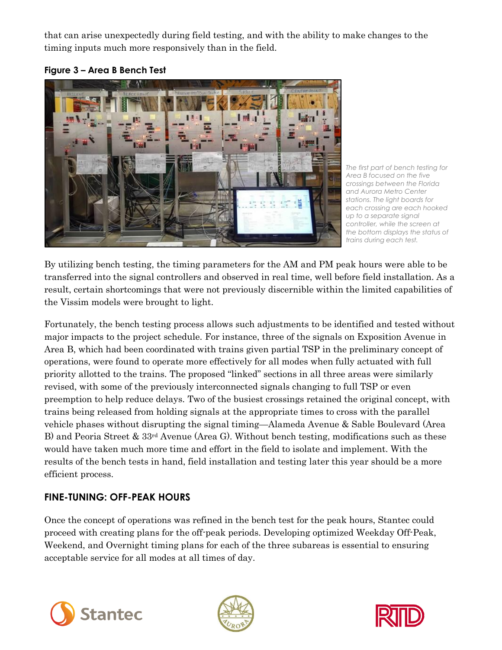that can arise unexpectedly during field testing, and with the ability to make changes to the timing inputs much more responsively than in the field.



**Figure 3 – Area B Bench Test**

*The first part of bench testing for Area B focused on the five crossings between the Florida and Aurora Metro Center stations. The light boards for each crossing are each hooked up to a separate signal controller, while the screen at the bottom displays the status of trains during each test.*

By utilizing bench testing, the timing parameters for the AM and PM peak hours were able to be transferred into the signal controllers and observed in real time, well before field installation. As a result, certain shortcomings that were not previously discernible within the limited capabilities of the Vissim models were brought to light.

Fortunately, the bench testing process allows such adjustments to be identified and tested without major impacts to the project schedule. For instance, three of the signals on Exposition Avenue in Area B, which had been coordinated with trains given partial TSP in the preliminary concept of operations, were found to operate more effectively for all modes when fully actuated with full priority allotted to the trains. The proposed "linked" sections in all three areas were similarly revised, with some of the previously interconnected signals changing to full TSP or even preemption to help reduce delays. Two of the busiest crossings retained the original concept, with trains being released from holding signals at the appropriate times to cross with the parallel vehicle phases without disrupting the signal timing—Alameda Avenue & Sable Boulevard (Area B) and Peoria Street &  $33<sup>rd</sup>$  Avenue (Area G). Without bench testing, modifications such as these would have taken much more time and effort in the field to isolate and implement. With the results of the bench tests in hand, field installation and testing later this year should be a more efficient process.

## **FINE-TUNING: OFF-PEAK HOURS**

Once the concept of operations was refined in the bench test for the peak hours, Stantec could proceed with creating plans for the off-peak periods. Developing optimized Weekday Off-Peak, Weekend, and Overnight timing plans for each of the three subareas is essential to ensuring acceptable service for all modes at all times of day.